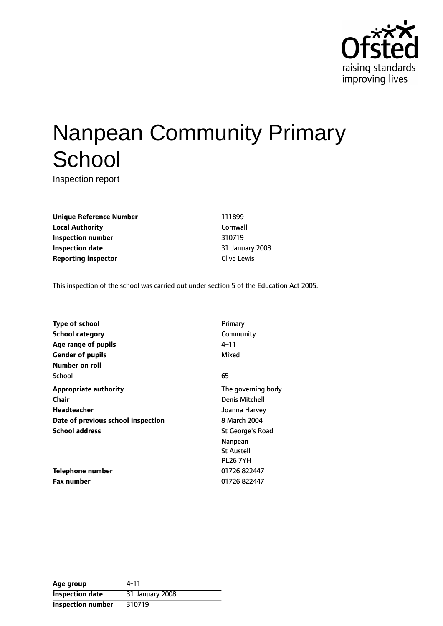

# Nanpean Community Primary **School**

Inspection report

**Unique Reference Number** 111899 **Local Authority** Cornwall **Inspection number** 310719 **Inspection date** 31 January 2008 **Reporting inspector Clive Lewis** 

This inspection of the school was carried out under section 5 of the Education Act 2005.

| Type of school                     | Primary               |
|------------------------------------|-----------------------|
| <b>School category</b>             | Community             |
| Age range of pupils                | 4–11                  |
| <b>Gender of pupils</b>            | Mixed                 |
| Number on roll                     |                       |
| School                             | 65                    |
| <b>Appropriate authority</b>       | The governing body    |
| Chair                              | <b>Denis Mitchell</b> |
| Headteacher                        | Joanna Harvey         |
| Date of previous school inspection | 8 March 2004          |
| <b>School address</b>              | St George's Road      |
|                                    | Nanpean               |
|                                    | <b>St Austell</b>     |
|                                    | <b>PL26 7YH</b>       |
| <b>Telephone number</b>            | 01726 822447          |
| <b>Fax number</b>                  | 01726 822447          |
|                                    |                       |

| Age group                | 4-11            |
|--------------------------|-----------------|
| <b>Inspection date</b>   | 31 January 2008 |
| <b>Inspection number</b> | 310719          |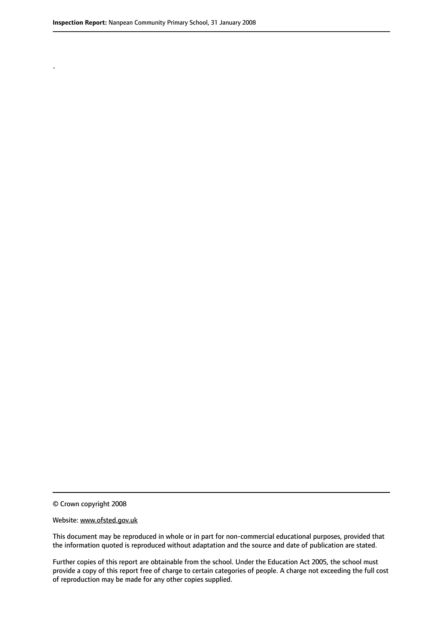.

© Crown copyright 2008

#### Website: www.ofsted.gov.uk

This document may be reproduced in whole or in part for non-commercial educational purposes, provided that the information quoted is reproduced without adaptation and the source and date of publication are stated.

Further copies of this report are obtainable from the school. Under the Education Act 2005, the school must provide a copy of this report free of charge to certain categories of people. A charge not exceeding the full cost of reproduction may be made for any other copies supplied.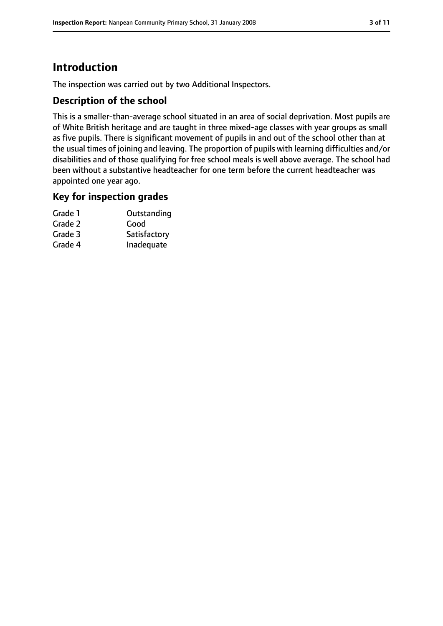# **Introduction**

The inspection was carried out by two Additional Inspectors.

## **Description of the school**

This is a smaller-than-average school situated in an area of social deprivation. Most pupils are of White British heritage and are taught in three mixed-age classes with year groups as small as five pupils. There is significant movement of pupils in and out of the school other than at the usual times of joining and leaving. The proportion of pupils with learning difficulties and/or disabilities and of those qualifying for free school meals is well above average. The school had been without a substantive headteacher for one term before the current headteacher was appointed one year ago.

## **Key for inspection grades**

| Grade 1 | Outstanding  |
|---------|--------------|
| Grade 2 | Good         |
| Grade 3 | Satisfactory |
| Grade 4 | Inadequate   |
|         |              |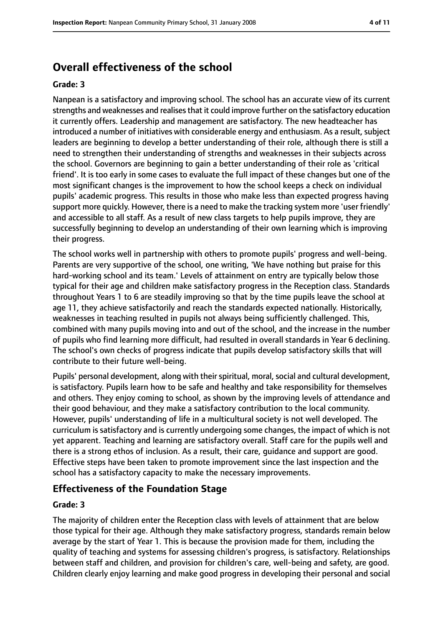# **Overall effectiveness of the school**

#### **Grade: 3**

Nanpean is a satisfactory and improving school. The school has an accurate view of its current strengths and weaknesses and realises that it could improve further on the satisfactory education it currently offers. Leadership and management are satisfactory. The new headteacher has introduced a number of initiatives with considerable energy and enthusiasm. As a result, subject leaders are beginning to develop a better understanding of their role, although there is still a need to strengthen their understanding of strengths and weaknesses in their subjects across the school. Governors are beginning to gain a better understanding of their role as 'critical friend'. It is too early in some cases to evaluate the full impact of these changes but one of the most significant changes is the improvement to how the school keeps a check on individual pupils' academic progress. This results in those who make less than expected progress having support more quickly. However, there is a need to make the tracking system more 'user friendly' and accessible to all staff. As a result of new class targets to help pupils improve, they are successfully beginning to develop an understanding of their own learning which is improving their progress.

The school works well in partnership with others to promote pupils' progress and well-being. Parents are very supportive of the school, one writing, 'We have nothing but praise for this hard-working school and its team.' Levels of attainment on entry are typically below those typical for their age and children make satisfactory progress in the Reception class. Standards throughout Years 1 to 6 are steadily improving so that by the time pupils leave the school at age 11, they achieve satisfactorily and reach the standards expected nationally. Historically, weaknesses in teaching resulted in pupils not always being sufficiently challenged. This, combined with many pupils moving into and out of the school, and the increase in the number of pupils who find learning more difficult, had resulted in overall standards in Year 6 declining. The school's own checks of progress indicate that pupils develop satisfactory skills that will contribute to their future well-being.

Pupils' personal development, along with their spiritual, moral, social and cultural development, is satisfactory. Pupils learn how to be safe and healthy and take responsibility for themselves and others. They enjoy coming to school, as shown by the improving levels of attendance and their good behaviour, and they make a satisfactory contribution to the local community. However, pupils' understanding of life in a multicultural society is not well developed. The curriculum is satisfactory and is currently undergoing some changes, the impact of which is not yet apparent. Teaching and learning are satisfactory overall. Staff care for the pupils well and there is a strong ethos of inclusion. As a result, their care, guidance and support are good. Effective steps have been taken to promote improvement since the last inspection and the school has a satisfactory capacity to make the necessary improvements.

## **Effectiveness of the Foundation Stage**

#### **Grade: 3**

The majority of children enter the Reception class with levels of attainment that are below those typical for their age. Although they make satisfactory progress, standards remain below average by the start of Year 1. This is because the provision made for them, including the quality of teaching and systems for assessing children's progress, is satisfactory. Relationships between staff and children, and provision for children's care, well-being and safety, are good. Children clearly enjoy learning and make good progress in developing their personal and social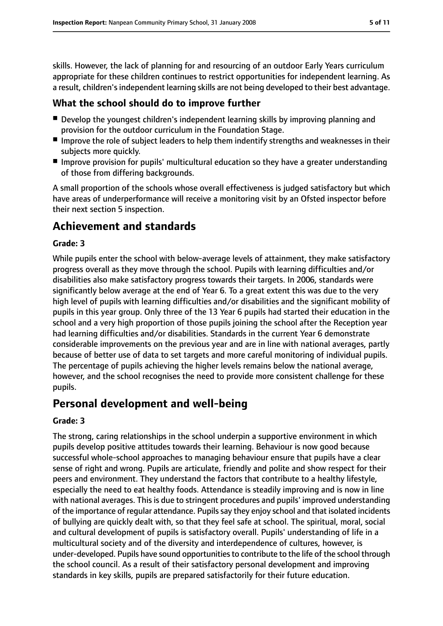skills. However, the lack of planning for and resourcing of an outdoor Early Years curriculum appropriate for these children continues to restrict opportunities for independent learning. As a result, children's independent learning skills are not being developed to their best advantage.

# **What the school should do to improve further**

- Develop the youngest children's independent learning skills by improving planning and provision for the outdoor curriculum in the Foundation Stage.
- Improve the role of subject leaders to help them indentify strengths and weaknesses in their subjects more quickly.
- Improve provision for pupils' multicultural education so they have a greater understanding of those from differing backgrounds.

A small proportion of the schools whose overall effectiveness is judged satisfactory but which have areas of underperformance will receive a monitoring visit by an Ofsted inspector before their next section 5 inspection.

# **Achievement and standards**

### **Grade: 3**

While pupils enter the school with below-average levels of attainment, they make satisfactory progress overall as they move through the school. Pupils with learning difficulties and/or disabilities also make satisfactory progress towards their targets. In 2006, standards were significantly below average at the end of Year 6. To a great extent this was due to the very high level of pupils with learning difficulties and/or disabilities and the significant mobility of pupils in this year group. Only three of the 13 Year 6 pupils had started their education in the school and a very high proportion of those pupils joining the school after the Reception year had learning difficulties and/or disabilities. Standards in the current Year 6 demonstrate considerable improvements on the previous year and are in line with national averages, partly because of better use of data to set targets and more careful monitoring of individual pupils. The percentage of pupils achieving the higher levels remains below the national average, however, and the school recognises the need to provide more consistent challenge for these pupils.

# **Personal development and well-being**

#### **Grade: 3**

The strong, caring relationships in the school underpin a supportive environment in which pupils develop positive attitudes towards their learning. Behaviour is now good because successful whole-school approaches to managing behaviour ensure that pupils have a clear sense of right and wrong. Pupils are articulate, friendly and polite and show respect for their peers and environment. They understand the factors that contribute to a healthy lifestyle, especially the need to eat healthy foods. Attendance is steadily improving and is now in line with national averages. This is due to stringent procedures and pupils' improved understanding of the importance of regular attendance. Pupils say they enjoy school and that isolated incidents of bullying are quickly dealt with, so that they feel safe at school. The spiritual, moral, social and cultural development of pupils is satisfactory overall. Pupils' understanding of life in a multicultural society and of the diversity and interdependence of cultures, however, is under-developed. Pupils have sound opportunitiesto contribute to the life of the school through the school council. As a result of their satisfactory personal development and improving standards in key skills, pupils are prepared satisfactorily for their future education.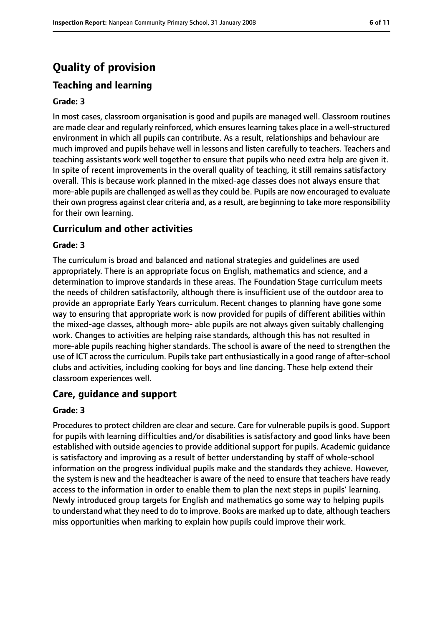# **Quality of provision**

# **Teaching and learning**

#### **Grade: 3**

In most cases, classroom organisation is good and pupils are managed well. Classroom routines are made clear and regularly reinforced, which ensures learning takes place in a well-structured environment in which all pupils can contribute. As a result, relationships and behaviour are much improved and pupils behave well in lessons and listen carefully to teachers. Teachers and teaching assistants work well together to ensure that pupils who need extra help are given it. In spite of recent improvements in the overall quality of teaching, it still remains satisfactory overall. This is because work planned in the mixed-age classes does not always ensure that more-able pupils are challenged as well asthey could be. Pupils are now encouraged to evaluate their own progress against clear criteria and, as a result, are beginning to take more responsibility for their own learning.

### **Curriculum and other activities**

#### **Grade: 3**

The curriculum is broad and balanced and national strategies and guidelines are used appropriately. There is an appropriate focus on English, mathematics and science, and a determination to improve standards in these areas. The Foundation Stage curriculum meets the needs of children satisfactorily, although there is insufficient use of the outdoor area to provide an appropriate Early Years curriculum. Recent changes to planning have gone some way to ensuring that appropriate work is now provided for pupils of different abilities within the mixed-age classes, although more- able pupils are not always given suitably challenging work. Changes to activities are helping raise standards, although this has not resulted in more-able pupils reaching higher standards. The school is aware of the need to strengthen the use of ICT across the curriculum. Pupils take part enthusiastically in a good range of after-school clubs and activities, including cooking for boys and line dancing. These help extend their classroom experiences well.

## **Care, guidance and support**

#### **Grade: 3**

Procedures to protect children are clear and secure. Care for vulnerable pupils is good. Support for pupils with learning difficulties and/or disabilities is satisfactory and good links have been established with outside agencies to provide additional support for pupils. Academic guidance is satisfactory and improving as a result of better understanding by staff of whole-school information on the progress individual pupils make and the standards they achieve. However, the system is new and the headteacher is aware of the need to ensure that teachers have ready access to the information in order to enable them to plan the next steps in pupils' learning. Newly introduced group targets for English and mathematics go some way to helping pupils to understand what they need to do to improve. Books are marked up to date, although teachers miss opportunities when marking to explain how pupils could improve their work.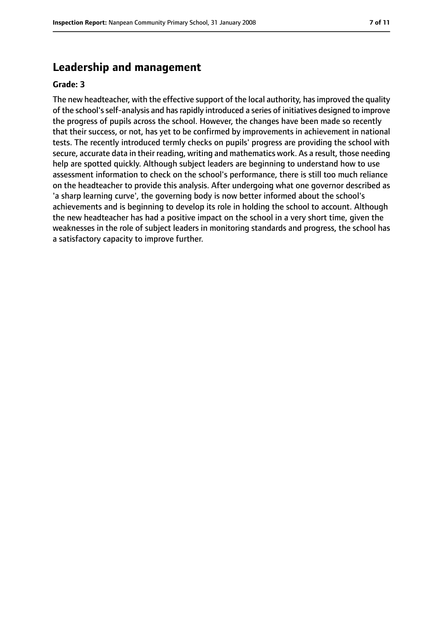# **Leadership and management**

#### **Grade: 3**

The new headteacher, with the effective support of the local authority, hasimproved the quality of the school's self-analysis and has rapidly introduced a series of initiatives designed to improve the progress of pupils across the school. However, the changes have been made so recently that their success, or not, has yet to be confirmed by improvements in achievement in national tests. The recently introduced termly checks on pupils' progress are providing the school with secure, accurate data in their reading, writing and mathematics work. As a result, those needing help are spotted quickly. Although subject leaders are beginning to understand how to use assessment information to check on the school's performance, there is still too much reliance on the headteacher to provide this analysis. After undergoing what one governor described as 'a sharp learning curve', the governing body is now better informed about the school's achievements and is beginning to develop its role in holding the school to account. Although the new headteacher has had a positive impact on the school in a very short time, given the weaknesses in the role of subject leaders in monitoring standards and progress, the school has a satisfactory capacity to improve further.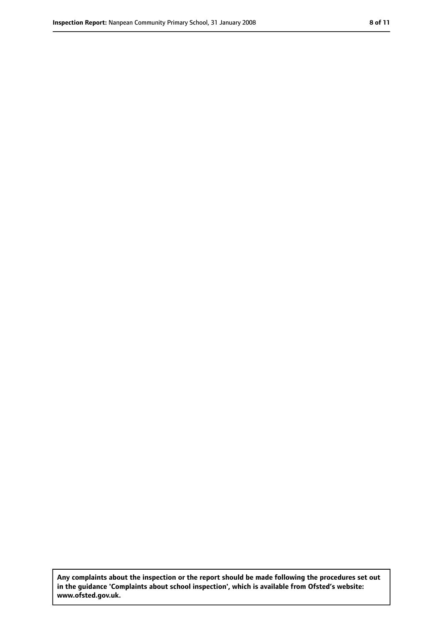**Any complaints about the inspection or the report should be made following the procedures set out in the guidance 'Complaints about school inspection', which is available from Ofsted's website: www.ofsted.gov.uk.**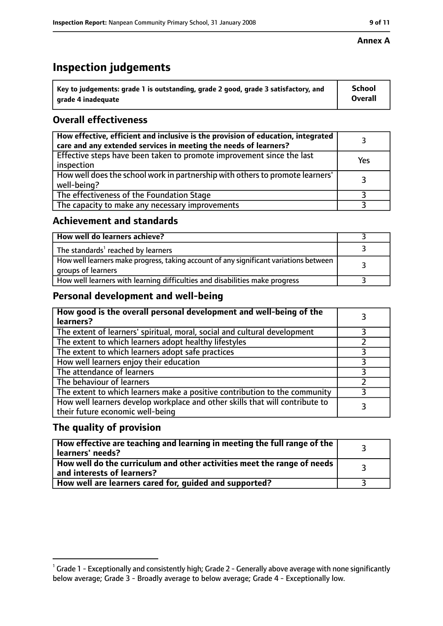# **Inspection judgements**

| $^{\backprime}$ Key to judgements: grade 1 is outstanding, grade 2 good, grade 3 satisfactory, and | <b>School</b>  |
|----------------------------------------------------------------------------------------------------|----------------|
| arade 4 inadequate                                                                                 | <b>Overall</b> |

# **Overall effectiveness**

| How effective, efficient and inclusive is the provision of education, integrated<br>care and any extended services in meeting the needs of learners? |     |
|------------------------------------------------------------------------------------------------------------------------------------------------------|-----|
| Effective steps have been taken to promote improvement since the last<br>inspection                                                                  | Yes |
| How well does the school work in partnership with others to promote learners'<br>well-being?                                                         |     |
| The effectiveness of the Foundation Stage                                                                                                            |     |
| The capacity to make any necessary improvements                                                                                                      |     |

## **Achievement and standards**

| How well do learners achieve?                                                                               |  |
|-------------------------------------------------------------------------------------------------------------|--|
| The standards <sup>1</sup> reached by learners                                                              |  |
| How well learners make progress, taking account of any significant variations between<br>groups of learners |  |
| How well learners with learning difficulties and disabilities make progress                                 |  |

## **Personal development and well-being**

| How good is the overall personal development and well-being of the<br>learners?                                  |  |
|------------------------------------------------------------------------------------------------------------------|--|
| The extent of learners' spiritual, moral, social and cultural development                                        |  |
| The extent to which learners adopt healthy lifestyles                                                            |  |
| The extent to which learners adopt safe practices                                                                |  |
| How well learners enjoy their education                                                                          |  |
| The attendance of learners                                                                                       |  |
| The behaviour of learners                                                                                        |  |
| The extent to which learners make a positive contribution to the community                                       |  |
| How well learners develop workplace and other skills that will contribute to<br>their future economic well-being |  |

# **The quality of provision**

| How effective are teaching and learning in meeting the full range of the<br>learners' needs?          |  |
|-------------------------------------------------------------------------------------------------------|--|
| How well do the curriculum and other activities meet the range of needs<br>and interests of learners? |  |
| How well are learners cared for, guided and supported?                                                |  |

### **Annex A**

 $^1$  Grade 1 - Exceptionally and consistently high; Grade 2 - Generally above average with none significantly below average; Grade 3 - Broadly average to below average; Grade 4 - Exceptionally low.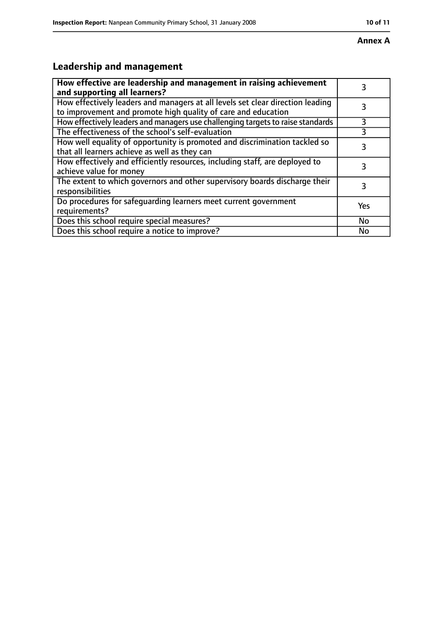#### **Annex A**

# **Leadership and management**

| How effective are leadership and management in raising achievement<br>and supporting all learners?                                              | 3         |
|-------------------------------------------------------------------------------------------------------------------------------------------------|-----------|
| How effectively leaders and managers at all levels set clear direction leading<br>to improvement and promote high quality of care and education |           |
| How effectively leaders and managers use challenging targets to raise standards                                                                 | 3         |
| The effectiveness of the school's self-evaluation                                                                                               |           |
| How well equality of opportunity is promoted and discrimination tackled so<br>that all learners achieve as well as they can                     | 3         |
| How effectively and efficiently resources, including staff, are deployed to<br>achieve value for money                                          | 3         |
| The extent to which governors and other supervisory boards discharge their<br>responsibilities                                                  | 3         |
| Do procedures for safequarding learners meet current government<br>requirements?                                                                | Yes       |
| Does this school require special measures?                                                                                                      | <b>No</b> |
| Does this school require a notice to improve?                                                                                                   | No        |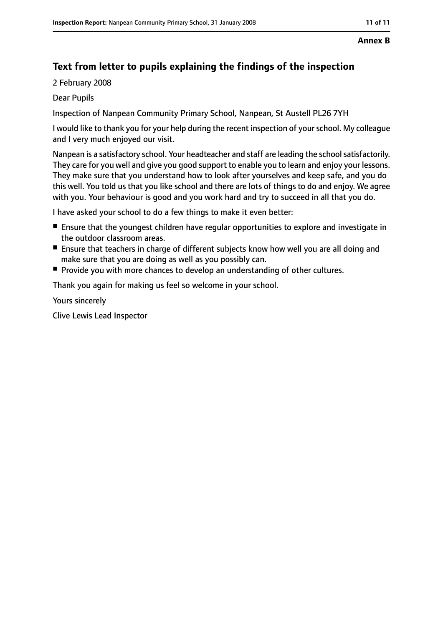#### **Annex B**

# **Text from letter to pupils explaining the findings of the inspection**

2 February 2008

Dear Pupils

Inspection of Nanpean Community Primary School, Nanpean, St Austell PL26 7YH

I would like to thank you for your help during the recent inspection of yourschool. My colleague and I very much enjoyed our visit.

Nanpean is a satisfactory school. Your headteacher and staff are leading the schoolsatisfactorily. They care for you well and give you good support to enable you to learn and enjoy your lessons. They make sure that you understand how to look after yourselves and keep safe, and you do this well. You told us that you like school and there are lots of things to do and enjoy. We agree with you. Your behaviour is good and you work hard and try to succeed in all that you do.

I have asked your school to do a few things to make it even better:

- Ensure that the youngest children have regular opportunities to explore and investigate in the outdoor classroom areas.
- Ensure that teachers in charge of different subiects know how well you are all doing and make sure that you are doing as well as you possibly can.
- Provide you with more chances to develop an understanding of other cultures.

Thank you again for making us feel so welcome in your school.

Yours sincerely

Clive Lewis Lead Inspector